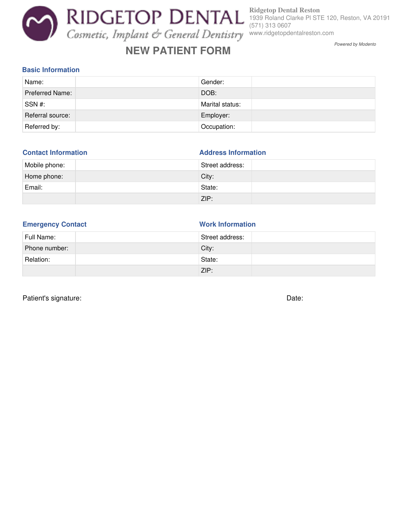# **NEW PATIENT FORM**

**Ridgetop Dental Reston** 1939 Roland Clarke Pl STE 120, Reston, VA 20191 (571) 313 0607 www.ridgetopdentalreston.com

Powered by Modento

#### **Basic Information**

| Name:            | Gender:         |
|------------------|-----------------|
| Preferred Name:  | DOB:            |
| SSN#:            | Marital status: |
| Referral source: | Employer:       |
| Referred by:     | Occupation:     |

#### **Contact Information Address Information**

| Mobile phone: | Street address: |  |
|---------------|-----------------|--|
| Home phone:   | City:           |  |
| Email:        | State:          |  |
|               | ZIP:            |  |

#### **Emergency Contact Work Information**

| Full Name:    | Street address: |
|---------------|-----------------|
| Phone number: | City:           |
| Relation:     | State:          |
|               | ZIP:            |

Patient's signature: Date: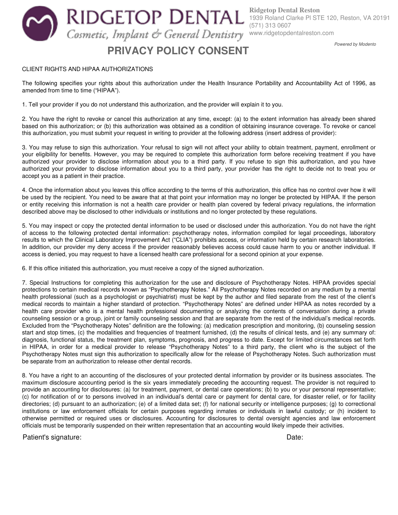**PRIVACY POLICY CONSENT**

**Ridgetop Dental Reston** 1939 Roland Clarke Pl STE 120, Reston, VA 20191 (571) 313 0607 www.ridgetopdentalreston.com

### Powered by Modento

#### CLIENT RIGHTS AND HIPAA AUTHORIZATIONS

The following specifies your rights about this authorization under the Health Insurance Portability and Accountability Act of 1996, as amended from time to time ("HIPAA").

1. Tell your provider if you do not understand this authorization, and the provider will explain it to you.

2. You have the right to revoke or cancel this authorization at any time, except: (a) to the extent information has already been shared based on this authorization; or (b) this authorization was obtained as a condition of obtaining insurance coverage. To revoke or cancel this authorization, you must submit your request in writing to provider at the following address (insert address of provider):

3. You may refuse to sign this authorization. Your refusal to sign will not affect your ability to obtain treatment, payment, enrollment or your eligibility for benefits. However, you may be required to complete this authorization form before receiving treatment if you have authorized your provider to disclose information about you to a third party. If you refuse to sign this authorization, and you have authorized your provider to disclose information about you to a third party, your provider has the right to decide not to treat you or accept you as a patient in their practice.

4. Once the information about you leaves this office according to the terms of this authorization, this office has no control over how it will be used by the recipient. You need to be aware that at that point your information may no longer be protected by HIPAA. If the person or entity receiving this information is not a health care provider or health plan covered by federal privacy regulations, the information described above may be disclosed to other individuals or institutions and no longer protected by these regulations.

5. You may inspect or copy the protected dental information to be used or disclosed under this authorization. You do not have the right of access to the following protected dental information: psychotherapy notes, information compiled for legal proceedings, laboratory results to which the Clinical Laboratory Improvement Act ("CLIA") prohibits access, or information held by certain research laboratories. In addition, our provider my deny access if the provider reasonably believes access could cause harm to you or another individual. If access is denied, you may request to have a licensed health care professional for a second opinion at your expense.

6. If this office initiated this authorization, you must receive a copy of the signed authorization.

7. Special Instructions for completing this authorization for the use and disclosure of Psychotherapy Notes. HIPAA provides special protections to certain medical records known as "Psychotherapy Notes." All Psychotherapy Notes recorded on any medium by a mental health professional (such as a psychologist or psychiatrist) must be kept by the author and filed separate from the rest of the client's medical records to maintain a higher standard of protection. "Psychotherapy Notes" are defined under HIPAA as notes recorded by a health care provider who is a mental health professional documenting or analyzing the contents of conversation during a private counseling session or a group, joint or family counseling session and that are separate from the rest of the individual's medical records. Excluded from the "Psychotherapy Notes" definition are the following: (a) medication prescription and monitoring, (b) counseling session start and stop times, (c) the modalities and frequencies of treatment furnished, (d) the results of clinical tests, and (e) any summary of: diagnosis, functional status, the treatment plan, symptoms, prognosis, and progress to date. Except for limited circumstances set forth in HIPAA, in order for a medical provider to release "Psychotherapy Notes" to a third party, the client who is the subject of the Psychotherapy Notes must sign this authorization to specifically allow for the release of Psychotherapy Notes. Such authorization must be separate from an authorization to release other dental records.

8. You have a right to an accounting of the disclosures of your protected dental information by provider or its business associates. The maximum disclosure accounting period is the six years immediately preceding the accounting request. The provider is not required to provide an accounting for disclosures: (a) for treatment, payment, or dental care operations; (b) to you or your personal representative; (c) for notification of or to persons involved in an individual's dental care or payment for dental care, for disaster relief, or for facility directories; (d) pursuant to an authorization; (e) of a limited data set; (f) for national security or intelligence purposes; (g) to correctional institutions or law enforcement officials for certain purposes regarding inmates or individuals in lawful custody; or (h) incident to otherwise permitted or required uses or disclosures. Accounting for disclosures to dental oversight agencies and law enforcement officials must be temporarily suspended on their written representation that an accounting would likely impede their activities.

Patient's signature: **Date:** Date: **Date: Date: Date: Date: Date: Date: Date: Date: Date: Date: Date: Date: Date: Date: Date: Date: Date: Date: Date: Date: Date: Date: Date: Da**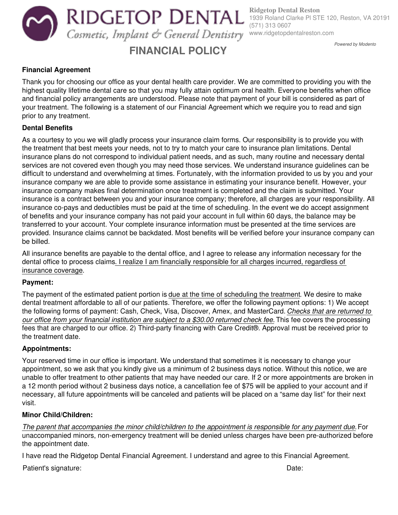RIDGETOP DENTAL Cosmetic, Implant & General Dentistry www.ridgetopdentalreston.com

# **FINANCIAL POLICY**

**Ridgetop Dental Reston** 1939 Roland Clarke Pl STE 120, Reston, VA 20191 (571) 313 0607

Powered by Modento

# **Financial Agreement**

Thank you for choosing our office as your dental health care provider. We are committed to providing you with the highest quality lifetime dental care so that you may fully attain optimum oral health. Everyone benefits when office and financial policy arrangements are understood. Please note that payment of your bill is considered as part of your treatment. The following is a statement of our Financial Agreement which we require you to read and sign prior to any treatment.

# **Dental Benefits**

As a courtesy to you we will gladly process your insurance claim forms. Our responsibility is to provide you with the treatment that best meets your needs, not to try to match your care to insurance plan limitations. Dental insurance plans do not correspond to individual patient needs, and as such, many routine and necessary dental services are not covered even though you may need those services. We understand insurance guidelines can be difficult to understand and overwhelming at times. Fortunately, with the information provided to us by you and your insurance company we are able to provide some assistance in estimating your insurance benefit. However, your insurance company makes final determination once treatment is completed and the claim is submitted. Your insurance is a contract between you and your insurance company; therefore, all charges are your responsibility. All insurance co-pays and deductibles must be paid at the time of scheduling. In the event we do accept assignment of benefits and your insurance company has not paid your account in full within 60 days, the balance may be transferred to your account. Your complete insurance information must be presented at the time services are provided. Insurance claims cannot be backdated. Most benefits will be verified before your insurance company can be billed.

All insurance benefits are payable to the dental office, and I agree to release any information necessary for the dental office to process claims. I realize I am financially responsible for all charges incurred, regardless of insurance coverage.

# **Payment:**

The payment of the estimated patient portion is due at the time of scheduling the treatment. We desire to make dental treatment affordable to all of our patients. Therefore, we offer the following payment options: 1) We accept the following forms of payment: Cash, Check, Visa, Discover, Amex, and MasterCard. Checks that are returned to our office from your financial institution are subject to a \$30.00 returned check fee. This fee covers the processing fees that are charged to our office. 2) Third-party financing with Care Credit®. Approval must be received prior to the treatment date.

# **Appointments:**

Your reserved time in our office is important. We understand that sometimes it is necessary to change your appointment, so we ask that you kindly give us a minimum of 2 business days notice. Without this notice, we are unable to offer treatment to other patients that may have needed our care. If 2 or more appointments are broken in a 12 month period without 2 business days notice, a cancellation fee of \$75 will be applied to your account and if necessary, all future appointments will be canceled and patients will be placed on a "same day list" for their next visit.

# **Minor Child/Children:**

The parent that accompanies the minor child/children to the appointment is responsible for any payment due. For unaccompanied minors, non-emergency treatment will be denied unless charges have been pre-authorized before the appointment date.

I have read the Ridgetop Dental Financial Agreement. I understand and agree to this Financial Agreement.

Patient's signature: **Date:** Date: **Date: Date: Date: Date: Date: Date: Date: Date: Date: Date: Date: Date: Date: Date: Date: Date: Date: Date: Date: Date: Date: Date: Date: Da**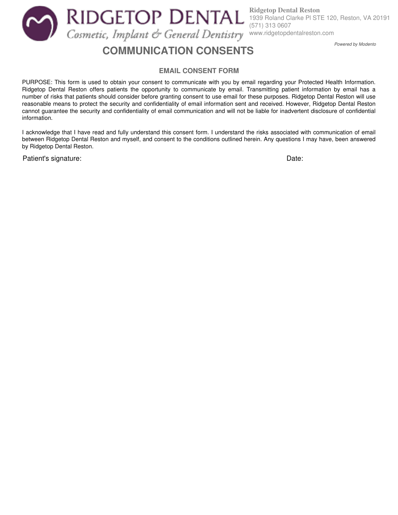**Ridgetop Dental Reston** RIDGETOP DENTAL 1939 Roland Clarke Pl STE 120, Reston, VA 20191 (571) 313 0607 Cosmetic, Implant & General Dentistry www.ridgetopdentalreston.com

# **COMMUNICATION CONSENTS**

Powered by Modento

#### **EMAIL CONSENT FORM**

PURPOSE: This form is used to obtain your consent to communicate with you by email regarding your Protected Health Information. Ridgetop Dental Reston offers patients the opportunity to communicate by email. Transmitting patient information by email has a number of risks that patients should consider before granting consent to use email for these purposes. Ridgetop Dental Reston will use reasonable means to protect the security and confidentiality of email information sent and received. However, Ridgetop Dental Reston cannot guarantee the security and confidentiality of email communication and will not be liable for inadvertent disclosure of confidential information.

I acknowledge that I have read and fully understand this consent form. I understand the risks associated with communication of email between Ridgetop Dental Reston and myself, and consent to the conditions outlined herein. Any questions I may have, been answered by Ridgetop Dental Reston.

Patient's signature: **Date:** Date: **Date:** Date: **Date: Date: Date: Date: Date: Date: Date: Date: Date: Date: Date: Date: Date: Date: Date: Date: Date: Date: Date: Date: Date: Date**